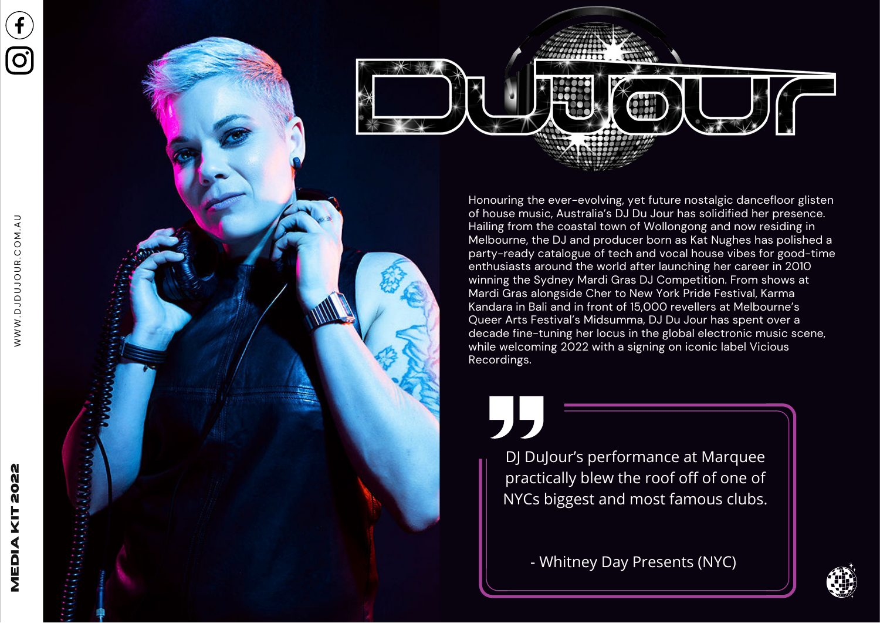



Honouring the ever-evolving, yet future nostalgic dancefloor glisten of house music, Australia's DJ Du Jour has solidified her presence. Hailing from the coastal town of Wollongong and now residing in Melbourne, the DJ and producer born as Kat Nughes has polished <sup>a</sup> party-ready catalogue of tech and vocal house vibes for good-time enthusiasts around the world after launching her career in 2010 winning the Sydney Mardi Gras DJ Competition. From shows at Mardi Gras alongside Cher to New York Pride Festival, Karma Kandara in Bali and in front of 15,000 revellers at Melbourne's Queer Arts Festival's Midsumma, DJ Du Jour has spent over <sup>a</sup> decade fine-tuning her locus in the global electronic music scene, while welcoming 2022 with a signing on iconic label Vicious Recordings.

DJ DuJour's performance at Marquee practically blew the roof off of one of NYCs biggest and most famous clubs.

- Whitney Day Presents (NYC)

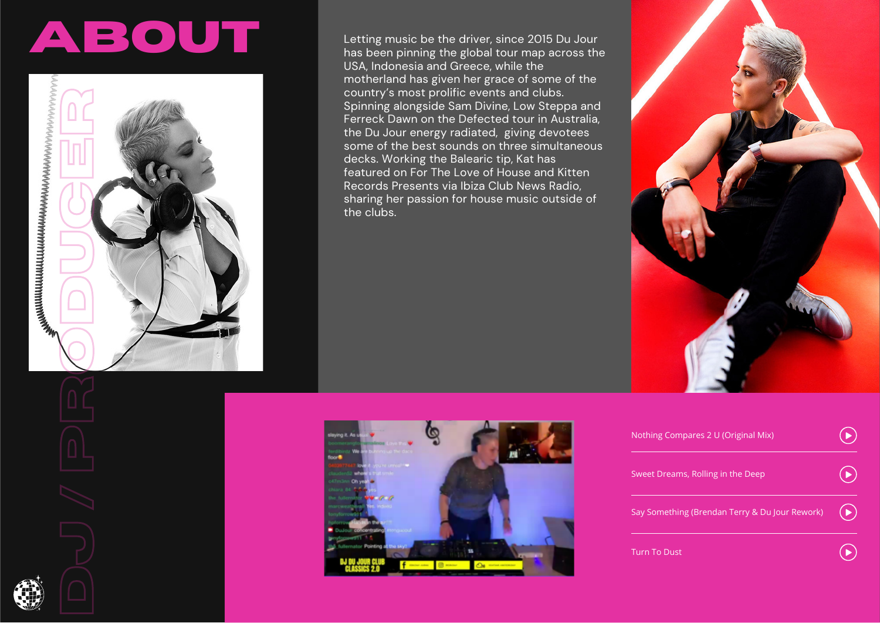## **AbouT**



Letting music be the driver, since 2015 Du Jour has been pinning the global tour map across the USA, Indonesia and Greece, while the motherland has given her grace of some of the country's most prolific events and clubs. Spinning alongside Sam Divine, Low Steppa and Ferreck Dawn on the Defected tour in Australia, the Du Jour energy radiated, giving devotees some of the best sounds on three simultaneous decks. Working the Balearic tip, Kat has featured on For The Love of House and Kitten Records Presents via Ibiza Club News Radio, sharing her passion for house music outside of the clubs.





| Nothing Compares 2 U (Original Mix)            |  |
|------------------------------------------------|--|
| Sweet Dreams, Rolling in the Deep              |  |
| Say Something (Brendan Terry & Du Jour Rework) |  |
| Turn To Dust                                   |  |